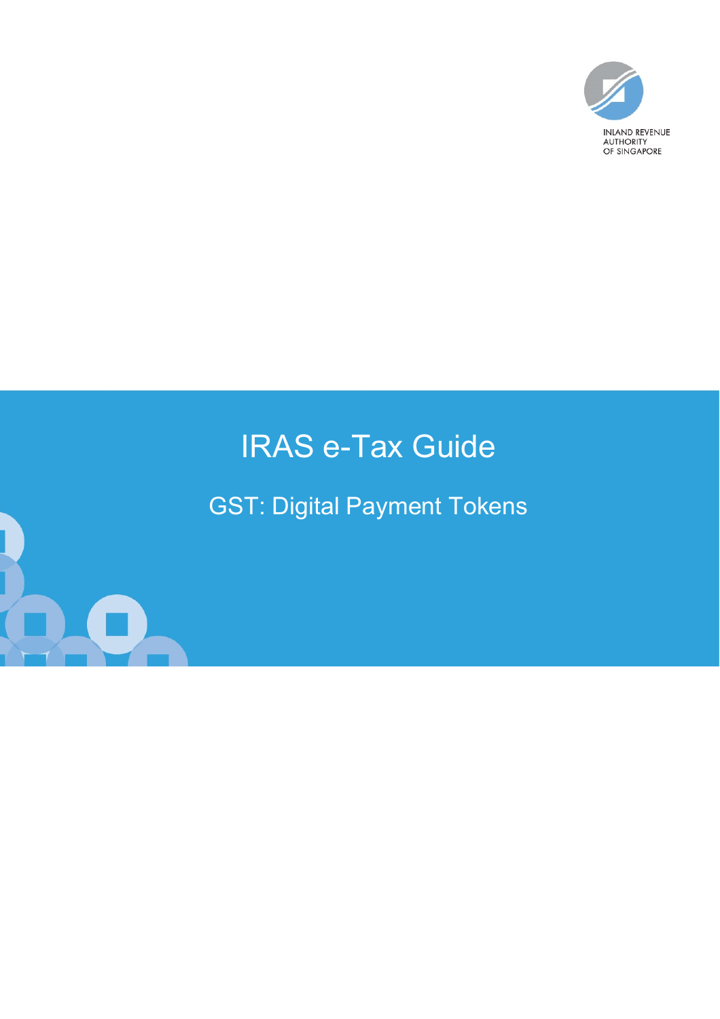

# IRAS e-Tax Guide

GST: Digital Payment Tokens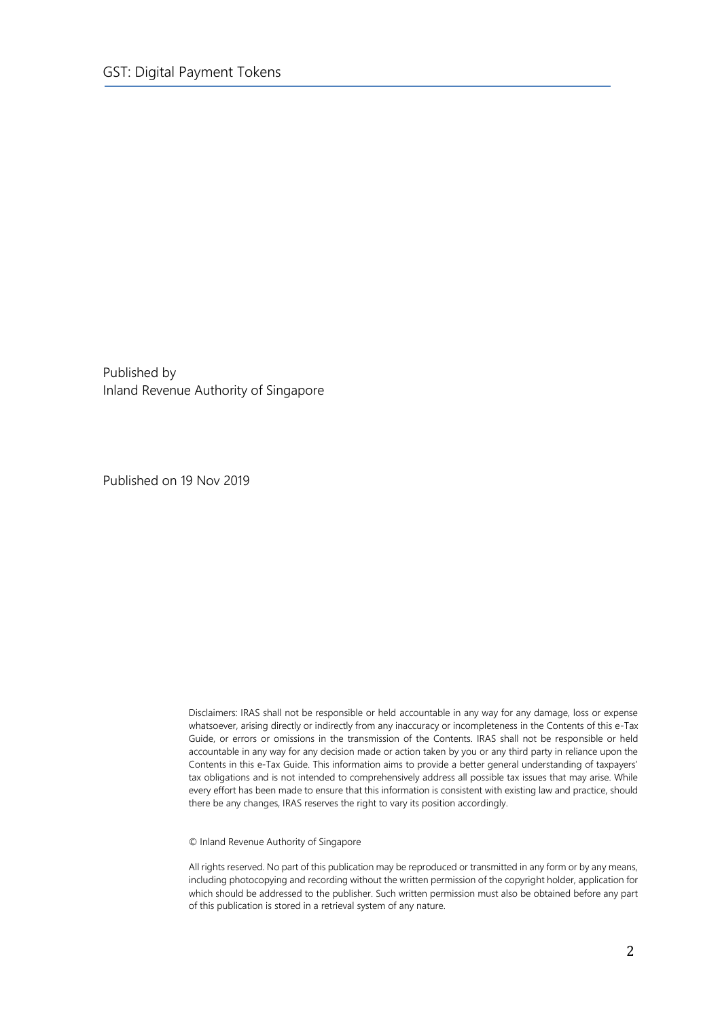Published by Inland Revenue Authority of Singapore

Published on 19 Nov 2019

Disclaimers: IRAS shall not be responsible or held accountable in any way for any damage, loss or expense whatsoever, arising directly or indirectly from any inaccuracy or incompleteness in the Contents of this e-Tax Guide, or errors or omissions in the transmission of the Contents. IRAS shall not be responsible or held accountable in any way for any decision made or action taken by you or any third party in reliance upon the Contents in this e-Tax Guide. This information aims to provide a better general understanding of taxpayers' tax obligations and is not intended to comprehensively address all possible tax issues that may arise. While every effort has been made to ensure that this information is consistent with existing law and practice, should there be any changes, IRAS reserves the right to vary its position accordingly.

© Inland Revenue Authority of Singapore

All rights reserved. No part of this publication may be reproduced or transmitted in any form or by any means, including photocopying and recording without the written permission of the copyright holder, application for which should be addressed to the publisher. Such written permission must also be obtained before any part of this publication is stored in a retrieval system of any nature.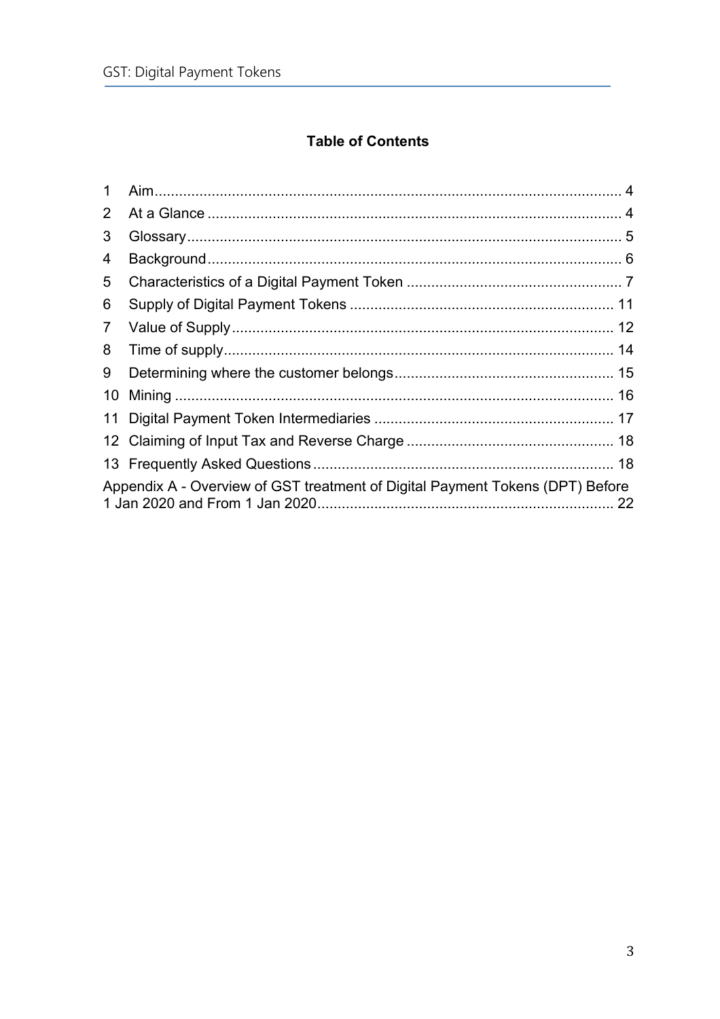## **Table of Contents**

| $\mathbf{1}$   |                                                                               |  |
|----------------|-------------------------------------------------------------------------------|--|
| $\overline{2}$ |                                                                               |  |
| 3              |                                                                               |  |
| 4              |                                                                               |  |
| 5              |                                                                               |  |
| 6              |                                                                               |  |
| $\overline{7}$ |                                                                               |  |
| 8              |                                                                               |  |
| 9              |                                                                               |  |
| 10             |                                                                               |  |
|                |                                                                               |  |
|                |                                                                               |  |
|                |                                                                               |  |
|                | Appendix A - Overview of GST treatment of Digital Payment Tokens (DPT) Before |  |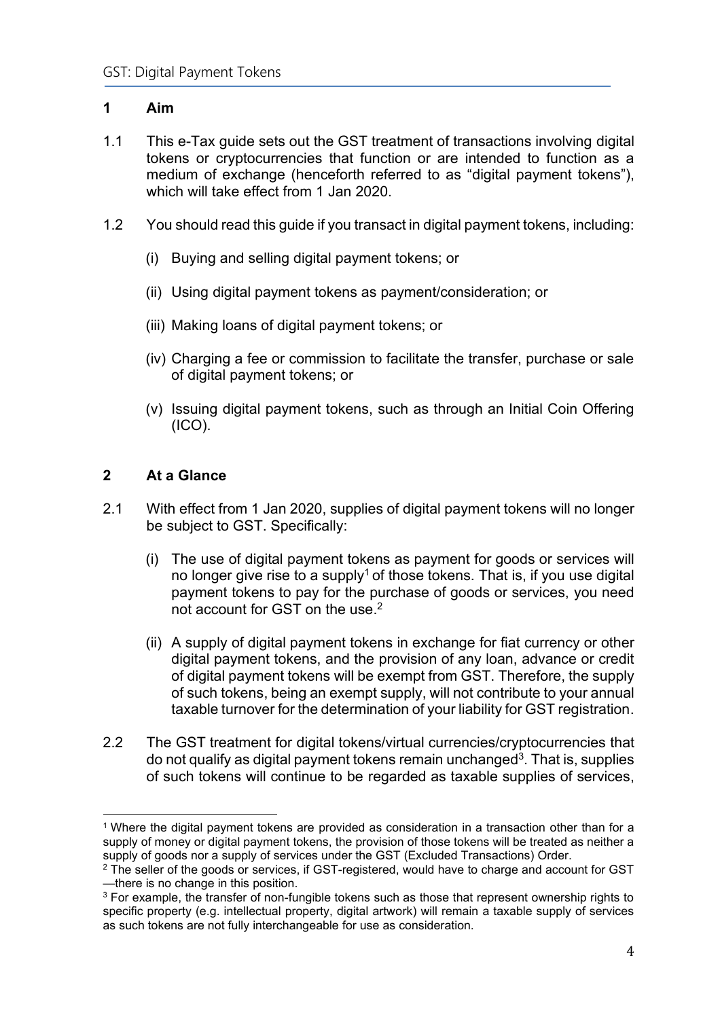## <span id="page-3-0"></span>**1 Aim**

- 1.1 This e-Tax guide sets out the GST treatment of transactions involving digital tokens or cryptocurrencies that function or are intended to function as a medium of exchange (henceforth referred to as "digital payment tokens"), which will take effect from 1 Jan 2020.
- 1.2 You should read this guide if you transact in digital payment tokens, including:
	- (i) Buying and selling digital payment tokens; or
	- (ii) Using digital payment tokens as payment/consideration; or
	- (iii) Making loans of digital payment tokens; or
	- (iv) Charging a fee or commission to facilitate the transfer, purchase or sale of digital payment tokens; or
	- (v) Issuing digital payment tokens, such as through an Initial Coin Offering (ICO).

## <span id="page-3-1"></span>**2 At a Glance**

- 2.1 With effect from 1 Jan 2020, supplies of digital payment tokens will no longer be subject to GST. Specifically:
	- (i) The use of digital payment tokens as payment for goods or services will no longer give rise to a supply<sup>1</sup> of those tokens. That is, if you use digital payment tokens to pay for the purchase of goods or services, you need not account for GST on the use. $^{\rm 2}$
	- (ii) A supply of digital payment tokens in exchange for fiat currency or other digital payment tokens, and the provision of any loan, advance or credit of digital payment tokens will be exempt from GST. Therefore, the supply of such tokens, being an exempt supply, will not contribute to your annual taxable turnover for the determination of your liability for GST registration.
- 2.2 The GST treatment for digital tokens/virtual currencies/cryptocurrencies that do not qualify as digital payment tokens remain unchanged<sup>3</sup>. That is, supplies of such tokens will continue to be regarded as taxable supplies of services,

<sup>1</sup> Where the digital payment tokens are provided as consideration in a transaction other than for a supply of money or digital payment tokens, the provision of those tokens will be treated as neither a supply of goods nor a supply of services under the GST (Excluded Transactions) Order.

<sup>&</sup>lt;sup>2</sup> The seller of the goods or services, if GST-registered, would have to charge and account for GST —there is no change in this position.

<sup>&</sup>lt;sup>3</sup> For example, the transfer of non-fungible tokens such as those that represent ownership rights to specific property (e.g. intellectual property, digital artwork) will remain a taxable supply of services as such tokens are not fully interchangeable for use as consideration.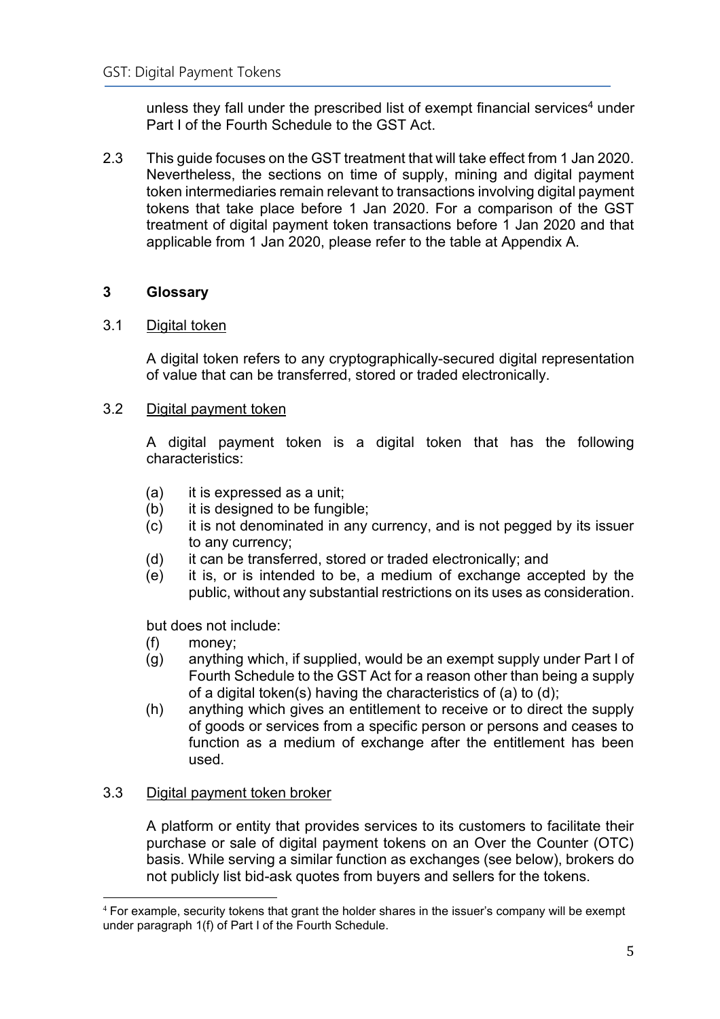unless they fall under the prescribed list of exempt financial services<sup>4</sup> under Part I of the Fourth Schedule to the GST Act.

2.3 This guide focuses on the GST treatment that will take effect from 1 Jan 2020. Nevertheless, the sections on time of supply, mining and digital payment token intermediaries remain relevant to transactions involving digital payment tokens that take place before 1 Jan 2020. For a comparison of the GST treatment of digital payment token transactions before 1 Jan 2020 and that applicable from 1 Jan 2020, please refer to the table at Appendix A.

## <span id="page-4-0"></span>**3 Glossary**

## 3.1 Digital token

A digital token refers to any cryptographically-secured digital representation of value that can be transferred, stored or traded electronically.

## 3.2 Digital payment token

A digital payment token is a digital token that has the following characteristics:

- (a) it is expressed as a unit;
- (b) it is designed to be fungible;
- (c) it is not denominated in any currency, and is not pegged by its issuer to any currency;
- (d) it can be transferred, stored or traded electronically; and
- (e) it is, or is intended to be, a medium of exchange accepted by the public, without any substantial restrictions on its uses as consideration.

but does not include:

- (f) money;
- (g) anything which, if supplied, would be an exempt supply under Part I of Fourth Schedule to the GST Act for a reason other than being a supply of a digital token(s) having the characteristics of (a) to (d);
- (h) anything which gives an entitlement to receive or to direct the supply of goods or services from a specific person or persons and ceases to function as a medium of exchange after the entitlement has been used.

## 3.3 Digital payment token broker

A platform or entity that provides services to its customers to facilitate their purchase or sale of digital payment tokens on an Over the Counter (OTC) basis. While serving a similar function as exchanges (see below), brokers do not publicly list bid-ask quotes from buyers and sellers for the tokens.

<sup>4</sup> For example, security tokens that grant the holder shares in the issuer's company will be exempt under paragraph 1(f) of Part I of the Fourth Schedule.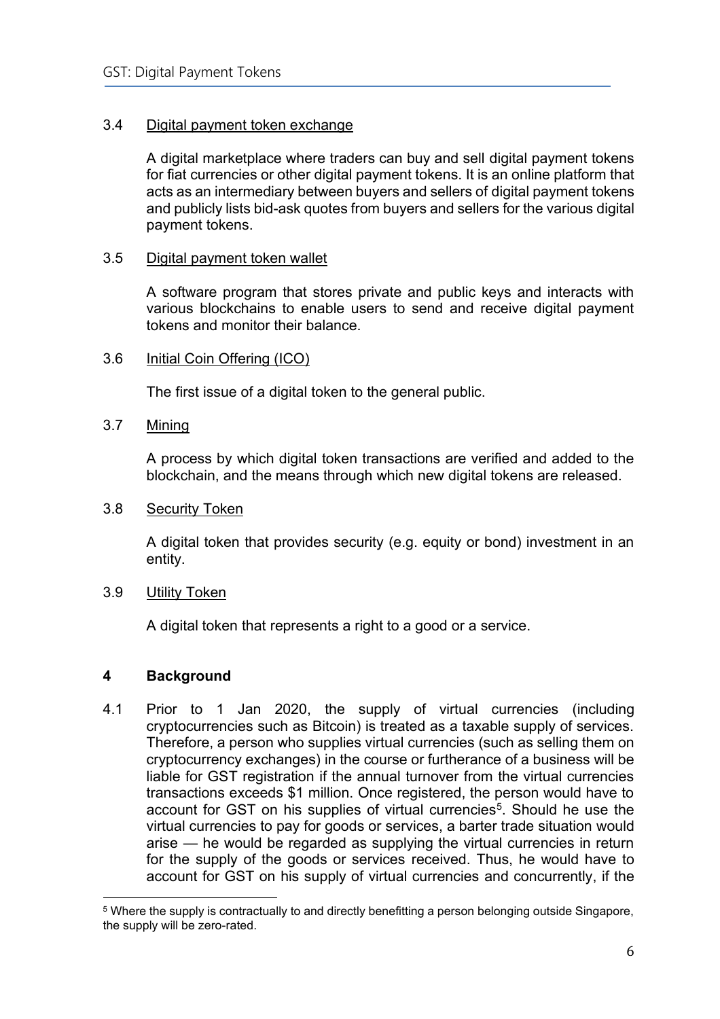## 3.4 Digital payment token exchange

A digital marketplace where traders can buy and sell digital payment tokens for fiat currencies or other digital payment tokens. It is an online platform that acts as an intermediary between buyers and sellers of digital payment tokens and publicly lists bid-ask quotes from buyers and sellers for the various digital payment tokens.

#### 3.5 Digital payment token wallet

A software program that stores private and public keys and interacts with various blockchains to enable users to send and receive digital payment tokens and monitor their balance.

#### 3.6 Initial Coin Offering (ICO)

The first issue of a digital token to the general public.

#### 3.7 Mining

A process by which digital token transactions are verified and added to the blockchain, and the means through which new digital tokens are released.

#### 3.8 Security Token

A digital token that provides security (e.g. equity or bond) investment in an entity.

#### 3.9 Utility Token

A digital token that represents a right to a good or a service.

## <span id="page-5-0"></span>**4 Background**

4.1 Prior to 1 Jan 2020, the supply of virtual currencies (including cryptocurrencies such as Bitcoin) is treated as a taxable supply of services. Therefore, a person who supplies virtual currencies (such as selling them on cryptocurrency exchanges) in the course or furtherance of a business will be liable for GST registration if the annual turnover from the virtual currencies transactions exceeds \$1 million. Once registered, the person would have to account for GST on his supplies of virtual currencies<sup>5</sup>. Should he use the virtual currencies to pay for goods or services, a barter trade situation would arise — he would be regarded as supplying the virtual currencies in return for the supply of the goods or services received. Thus, he would have to account for GST on his supply of virtual currencies and concurrently, if the

<sup>5</sup> Where the supply is contractually to and directly benefitting a person belonging outside Singapore, the supply will be zero-rated.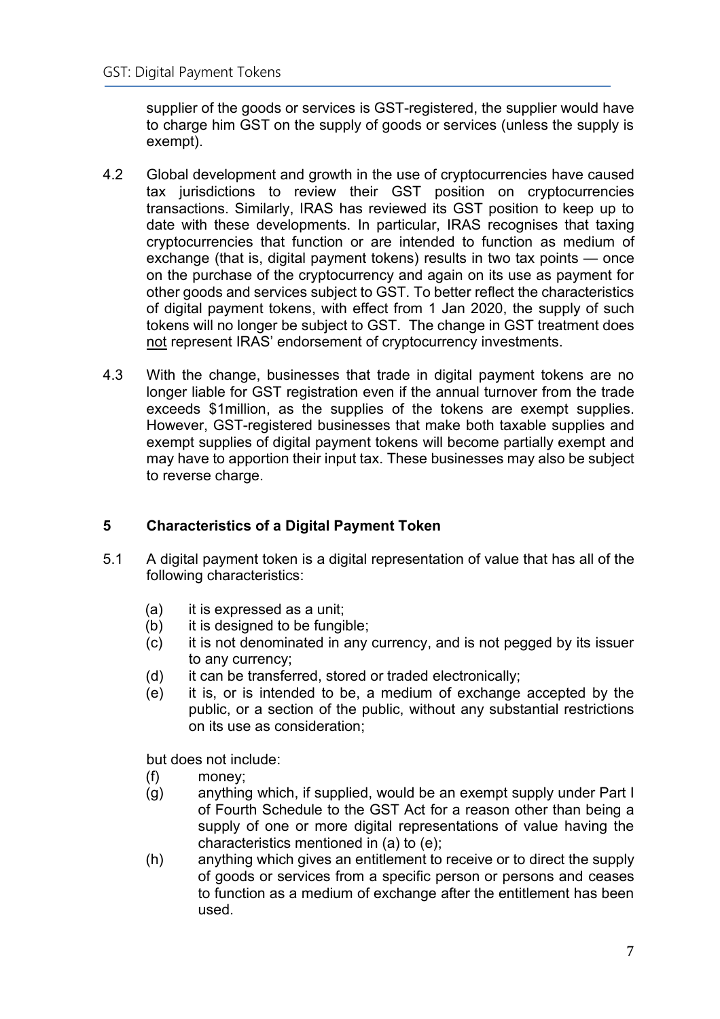supplier of the goods or services is GST-registered, the supplier would have to charge him GST on the supply of goods or services (unless the supply is exempt).

- 4.2 Global development and growth in the use of cryptocurrencies have caused tax jurisdictions to review their GST position on cryptocurrencies transactions. Similarly, IRAS has reviewed its GST position to keep up to date with these developments. In particular, IRAS recognises that taxing cryptocurrencies that function or are intended to function as medium of exchange (that is, digital payment tokens) results in two tax points — once on the purchase of the cryptocurrency and again on its use as payment for other goods and services subject to GST. To better reflect the characteristics of digital payment tokens, with effect from 1 Jan 2020, the supply of such tokens will no longer be subject to GST. The change in GST treatment does not represent IRAS' endorsement of cryptocurrency investments.
- 4.3 With the change, businesses that trade in digital payment tokens are no longer liable for GST registration even if the annual turnover from the trade exceeds \$1million, as the supplies of the tokens are exempt supplies. However, GST-registered businesses that make both taxable supplies and exempt supplies of digital payment tokens will become partially exempt and may have to apportion their input tax. These businesses may also be subject to reverse charge.

## <span id="page-6-0"></span>**5 Characteristics of a Digital Payment Token**

- 5.1 A digital payment token is a digital representation of value that has all of the following characteristics:
	- (a) it is expressed as a unit;
	- (b) it is designed to be fungible;
	- (c) it is not denominated in any currency, and is not pegged by its issuer to any currency;
	- (d) it can be transferred, stored or traded electronically;
	- (e) it is, or is intended to be, a medium of exchange accepted by the public, or a section of the public, without any substantial restrictions on its use as consideration;

but does not include:

- (f) money;
- (g) anything which, if supplied, would be an exempt supply under Part I of Fourth Schedule to the GST Act for a reason other than being a supply of one or more digital representations of value having the characteristics mentioned in (a) to (e);
- (h) anything which gives an entitlement to receive or to direct the supply of goods or services from a specific person or persons and ceases to function as a medium of exchange after the entitlement has been used.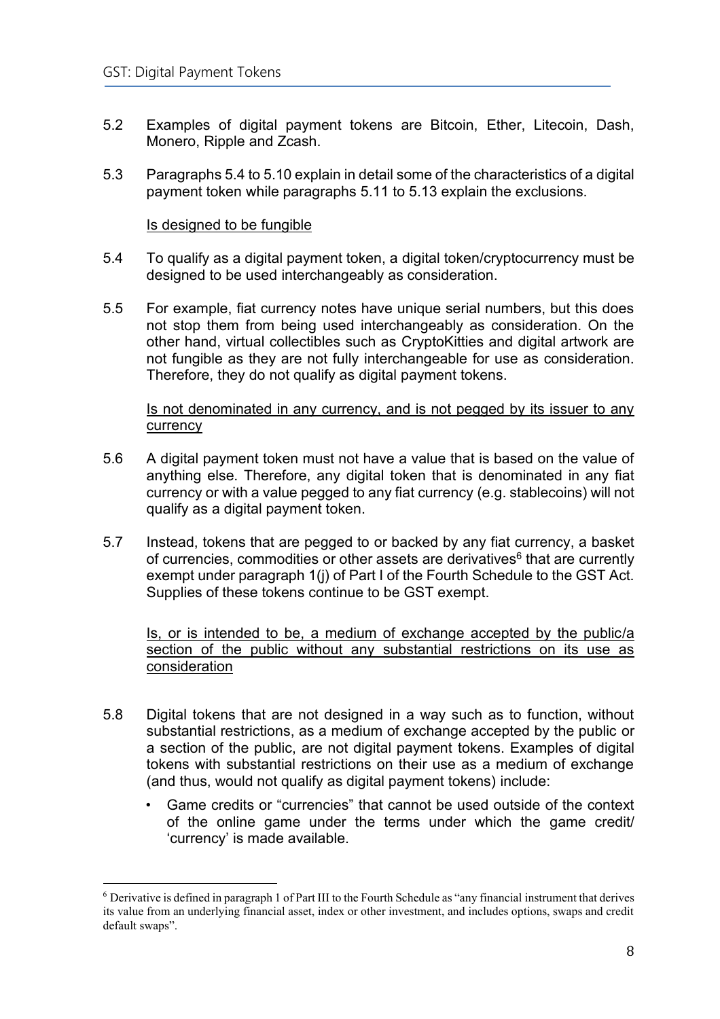- 5.2 Examples of digital payment tokens are Bitcoin, Ether, Litecoin, Dash, Monero, Ripple and Zcash.
- 5.3 Paragraphs 5.4 to 5.10 explain in detail some of the characteristics of a digital payment token while paragraphs 5.11 to 5.13 explain the exclusions.

#### Is designed to be fungible

- 5.4 To qualify as a digital payment token, a digital token/cryptocurrency must be designed to be used interchangeably as consideration.
- 5.5 For example, fiat currency notes have unique serial numbers, but this does not stop them from being used interchangeably as consideration. On the other hand, virtual collectibles such as CryptoKitties and digital artwork are not fungible as they are not fully interchangeable for use as consideration. Therefore, they do not qualify as digital payment tokens.

#### Is not denominated in any currency, and is not pegged by its issuer to any currency

- 5.6 A digital payment token must not have a value that is based on the value of anything else. Therefore, any digital token that is denominated in any fiat currency or with a value pegged to any fiat currency (e.g. stablecoins) will not qualify as a digital payment token.
- 5.7 Instead, tokens that are pegged to or backed by any fiat currency, a basket of currencies, commodities or other assets are derivatives $\mathrm{^6}$  that are currently exempt under paragraph 1(j) of Part I of the Fourth Schedule to the GST Act. Supplies of these tokens continue to be GST exempt.

Is, or is intended to be, a medium of exchange accepted by the public/a section of the public without any substantial restrictions on its use as **consideration** 

- 5.8 Digital tokens that are not designed in a way such as to function, without substantial restrictions, as a medium of exchange accepted by the public or a section of the public, are not digital payment tokens. Examples of digital tokens with substantial restrictions on their use as a medium of exchange (and thus, would not qualify as digital payment tokens) include:
	- Game credits or "currencies" that cannot be used outside of the context of the online game under the terms under which the game credit/ 'currency' is made available.

<sup>6</sup> Derivative is defined in paragraph 1 of Part III to the Fourth Schedule as "any financial instrument that derives its value from an underlying financial asset, index or other investment, and includes options, swaps and credit default swaps".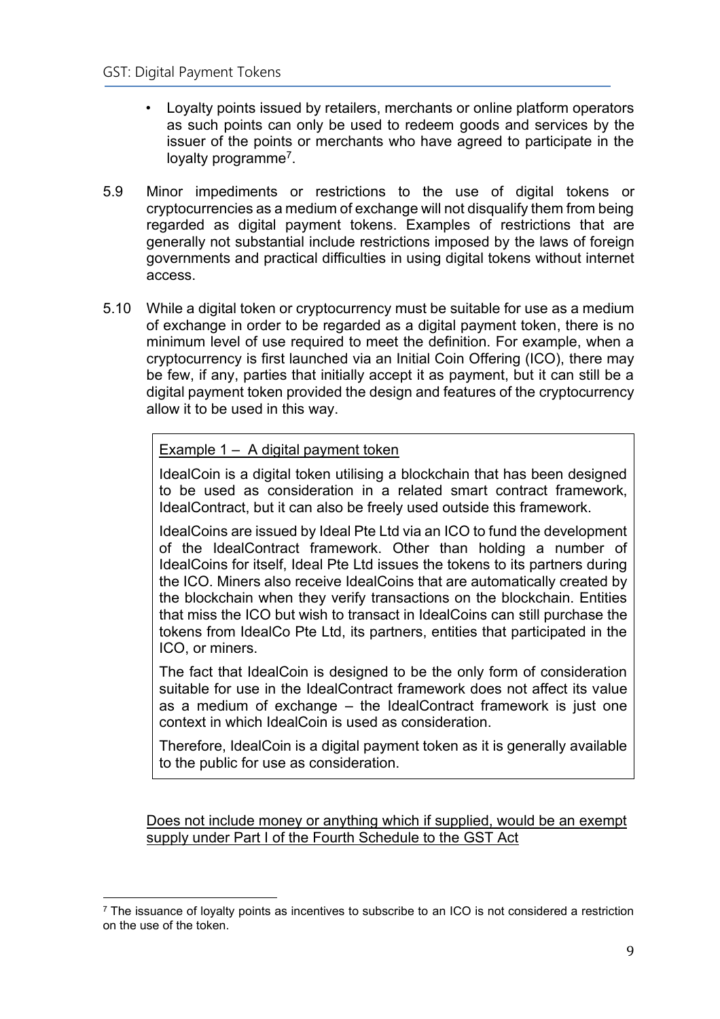- Loyalty points issued by retailers, merchants or online platform operators as such points can only be used to redeem goods and services by the issuer of the points or merchants who have agreed to participate in the loyalty programme<sup>7</sup>.
- 5.9 Minor impediments or restrictions to the use of digital tokens or cryptocurrencies as a medium of exchange will not disqualify them from being regarded as digital payment tokens. Examples of restrictions that are generally not substantial include restrictions imposed by the laws of foreign governments and practical difficulties in using digital tokens without internet access.
- 5.10 While a digital token or cryptocurrency must be suitable for use as a medium of exchange in order to be regarded as a digital payment token, there is no minimum level of use required to meet the definition. For example, when a cryptocurrency is first launched via an Initial Coin Offering (ICO), there may be few, if any, parties that initially accept it as payment, but it can still be a digital payment token provided the design and features of the cryptocurrency allow it to be used in this way.

## Example 1 – A digital payment token

IdealCoin is a digital token utilising a blockchain that has been designed to be used as consideration in a related smart contract framework, IdealContract, but it can also be freely used outside this framework.

IdealCoins are issued by Ideal Pte Ltd via an ICO to fund the development of the IdealContract framework. Other than holding a number of IdealCoins for itself, Ideal Pte Ltd issues the tokens to its partners during the ICO. Miners also receive IdealCoins that are automatically created by the blockchain when they verify transactions on the blockchain. Entities that miss the ICO but wish to transact in IdealCoins can still purchase the tokens from IdealCo Pte Ltd, its partners, entities that participated in the ICO, or miners.

The fact that IdealCoin is designed to be the only form of consideration suitable for use in the IdealContract framework does not affect its value as a medium of exchange – the IdealContract framework is just one context in which IdealCoin is used as consideration.

Therefore, IdealCoin is a digital payment token as it is generally available to the public for use as consideration.

Does not include money or anything which if supplied, would be an exempt supply under Part I of the Fourth Schedule to the GST Act

 $<sup>7</sup>$  The issuance of loyalty points as incentives to subscribe to an ICO is not considered a restriction</sup> on the use of the token.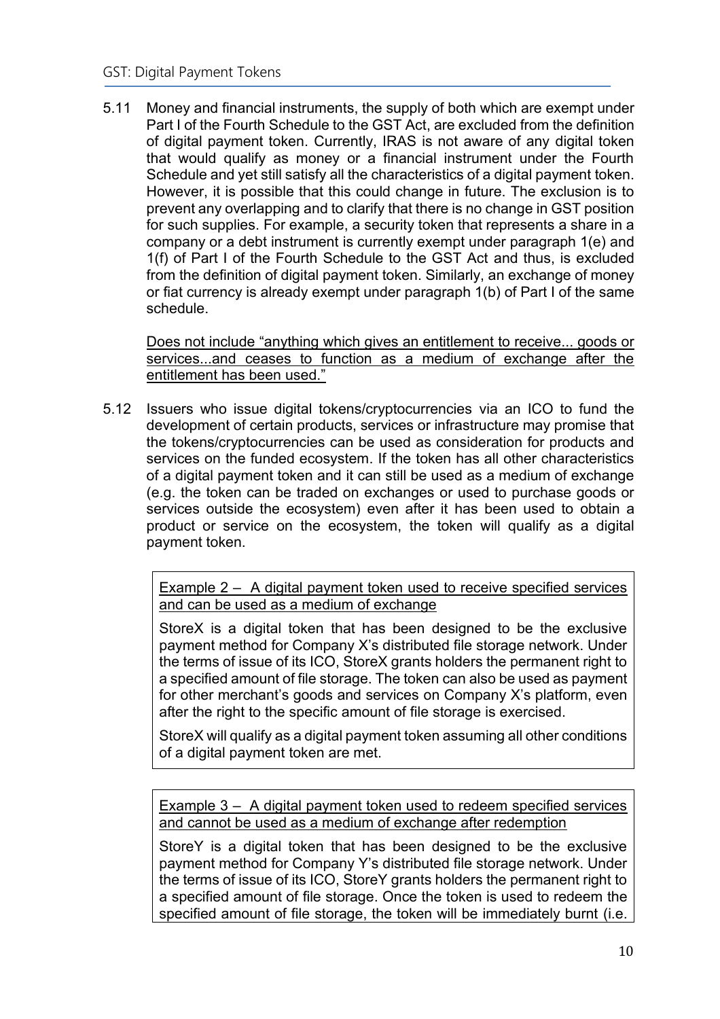5.11 Money and financial instruments, the supply of both which are exempt under Part I of the Fourth Schedule to the GST Act, are excluded from the definition of digital payment token. Currently, IRAS is not aware of any digital token that would qualify as money or a financial instrument under the Fourth Schedule and yet still satisfy all the characteristics of a digital payment token. However, it is possible that this could change in future. The exclusion is to prevent any overlapping and to clarify that there is no change in GST position for such supplies. For example, a security token that represents a share in a company or a debt instrument is currently exempt under paragraph 1(e) and 1(f) of Part I of the Fourth Schedule to the GST Act and thus, is excluded from the definition of digital payment token. Similarly, an exchange of money or fiat currency is already exempt under paragraph 1(b) of Part I of the same schedule.

Does not include "anything which gives an entitlement to receive... goods or services...and ceases to function as a medium of exchange after the entitlement has been used."

5.12 Issuers who issue digital tokens/cryptocurrencies via an ICO to fund the development of certain products, services or infrastructure may promise that the tokens/cryptocurrencies can be used as consideration for products and services on the funded ecosystem. If the token has all other characteristics of a digital payment token and it can still be used as a medium of exchange (e.g. the token can be traded on exchanges or used to purchase goods or services outside the ecosystem) even after it has been used to obtain a product or service on the ecosystem, the token will qualify as a digital payment token.

> Example 2 – A digital payment token used to receive specified services and can be used as a medium of exchange

> StoreX is a digital token that has been designed to be the exclusive payment method for Company X's distributed file storage network. Under the terms of issue of its ICO, StoreX grants holders the permanent right to a specified amount of file storage. The token can also be used as payment for other merchant's goods and services on Company X's platform, even after the right to the specific amount of file storage is exercised.

> StoreX will qualify as a digital payment token assuming all other conditions of a digital payment token are met.

> Example 3 – A digital payment token used to redeem specified services and cannot be used as a medium of exchange after redemption

> StoreY is a digital token that has been designed to be the exclusive payment method for Company Y's distributed file storage network. Under the terms of issue of its ICO, StoreY grants holders the permanent right to a specified amount of file storage. Once the token is used to redeem the specified amount of file storage, the token will be immediately burnt (i.e.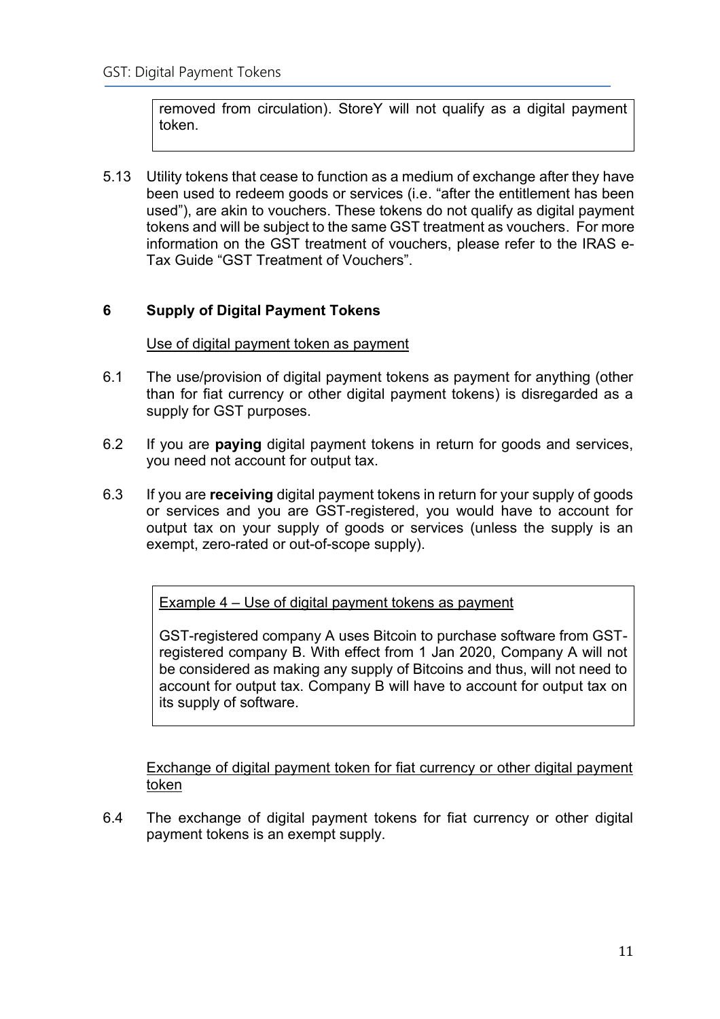removed from circulation). StoreY will not qualify as a digital payment token.

5.13 Utility tokens that cease to function as a medium of exchange after they have been used to redeem goods or services (i.e. "after the entitlement has been used"), are akin to vouchers. These tokens do not qualify as digital payment tokens and will be subject to the same GST treatment as vouchers. For more information on the GST treatment of vouchers, please refer to the IRAS e-Tax Guide "GST Treatment of Vouchers".

## <span id="page-10-0"></span>**6 Supply of Digital Payment Tokens**

## Use of digital payment token as payment

- 6.1 The use/provision of digital payment tokens as payment for anything (other than for fiat currency or other digital payment tokens) is disregarded as a supply for GST purposes.
- 6.2 If you are **paying** digital payment tokens in return for goods and services, you need not account for output tax.
- 6.3 If you are **receiving** digital payment tokens in return for your supply of goods or services and you are GST-registered, you would have to account for output tax on your supply of goods or services (unless the supply is an exempt, zero-rated or out-of-scope supply).

Example 4 – Use of digital payment tokens as payment

GST-registered company A uses Bitcoin to purchase software from GSTregistered company B. With effect from 1 Jan 2020, Company A will not be considered as making any supply of Bitcoins and thus, will not need to account for output tax. Company B will have to account for output tax on its supply of software.

Exchange of digital payment token for fiat currency or other digital payment token

6.4 The exchange of digital payment tokens for fiat currency or other digital payment tokens is an exempt supply.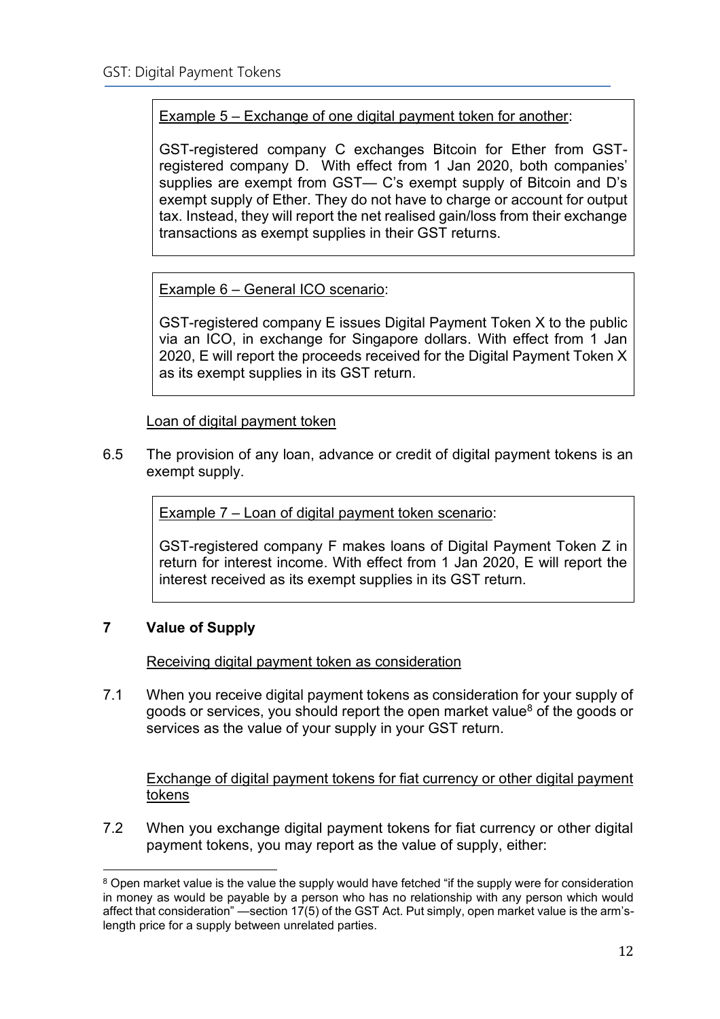## Example 5 – Exchange of one digital payment token for another:

GST-registered company C exchanges Bitcoin for Ether from GSTregistered company D. With effect from 1 Jan 2020, both companies' supplies are exempt from GST— C's exempt supply of Bitcoin and D's exempt supply of Ether. They do not have to charge or account for output tax. Instead, they will report the net realised gain/loss from their exchange transactions as exempt supplies in their GST returns.

Example 6 – General ICO scenario:

GST-registered company E issues Digital Payment Token X to the public via an ICO, in exchange for Singapore dollars. With effect from 1 Jan 2020, E will report the proceeds received for the Digital Payment Token X as its exempt supplies in its GST return.

Loan of digital payment token

6.5 The provision of any loan, advance or credit of digital payment tokens is an exempt supply.

Example 7 – Loan of digital payment token scenario:

GST-registered company F makes loans of Digital Payment Token Z in return for interest income. With effect from 1 Jan 2020, E will report the interest received as its exempt supplies in its GST return.

## <span id="page-11-0"></span>**7 Value of Supply**

Receiving digital payment token as consideration

7.1 When you receive digital payment tokens as consideration for your supply of goods or services, you should report the open market value<sup>8</sup> of the goods or services as the value of your supply in your GST return.

Exchange of digital payment tokens for fiat currency or other digital payment tokens

7.2 When you exchange digital payment tokens for fiat currency or other digital payment tokens, you may report as the value of supply, either:

<sup>&</sup>lt;sup>8</sup> Open market value is the value the supply would have fetched "if the supply were for consideration in money as would be payable by a person who has no relationship with any person which would affect that consideration" —section 17(5) of the GST Act. Put simply, open market value is the arm'slength price for a supply between unrelated parties.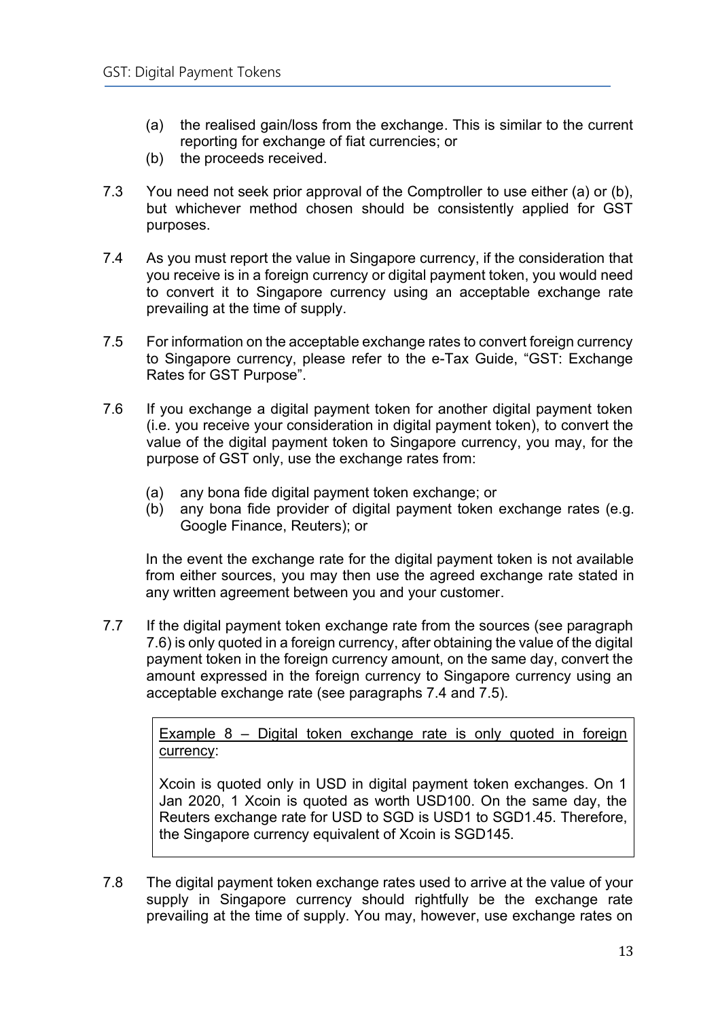- (a) the realised gain/loss from the exchange. This is similar to the current reporting for exchange of fiat currencies; or
- (b) the proceeds received.
- 7.3 You need not seek prior approval of the Comptroller to use either (a) or (b), but whichever method chosen should be consistently applied for GST purposes.
- 7.4 As you must report the value in Singapore currency, if the consideration that you receive is in a foreign currency or digital payment token, you would need to convert it to Singapore currency using an acceptable exchange rate prevailing at the time of supply.
- 7.5 For information on the acceptable exchange rates to convert foreign currency to Singapore currency, please refer to the e-Tax Guide, "GST: Exchange Rates for GST Purpose".
- 7.6 If you exchange a digital payment token for another digital payment token (i.e. you receive your consideration in digital payment token), to convert the value of the digital payment token to Singapore currency, you may, for the purpose of GST only, use the exchange rates from:
	- (a) any bona fide digital payment token exchange; or
	- (b) any bona fide provider of digital payment token exchange rates (e.g. Google Finance, Reuters); or

In the event the exchange rate for the digital payment token is not available from either sources, you may then use the agreed exchange rate stated in any written agreement between you and your customer.

7.7 If the digital payment token exchange rate from the sources (see paragraph 7.6) is only quoted in a foreign currency, after obtaining the value of the digital payment token in the foreign currency amount, on the same day, convert the amount expressed in the foreign currency to Singapore currency using an acceptable exchange rate (see paragraphs 7.4 and 7.5).

> Example 8 – Digital token exchange rate is only quoted in foreign currency:

> Xcoin is quoted only in USD in digital payment token exchanges. On 1 Jan 2020, 1 Xcoin is quoted as worth USD100. On the same day, the Reuters exchange rate for USD to SGD is USD1 to SGD1.45. Therefore, the Singapore currency equivalent of Xcoin is SGD145.

7.8 The digital payment token exchange rates used to arrive at the value of your supply in Singapore currency should rightfully be the exchange rate prevailing at the time of supply. You may, however, use exchange rates on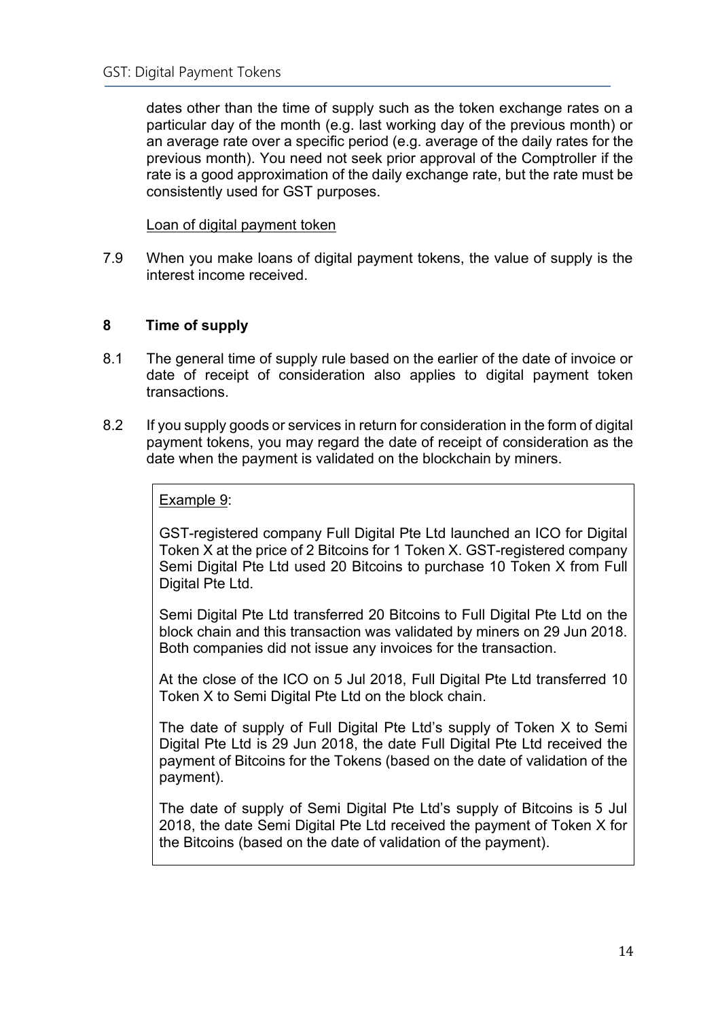dates other than the time of supply such as the token exchange rates on a particular day of the month (e.g. last working day of the previous month) or an average rate over a specific period (e.g. average of the daily rates for the previous month). You need not seek prior approval of the Comptroller if the rate is a good approximation of the daily exchange rate, but the rate must be consistently used for GST purposes.

Loan of digital payment token

7.9 When you make loans of digital payment tokens, the value of supply is the interest income received.

## <span id="page-13-0"></span>**8 Time of supply**

- 8.1 The general time of supply rule based on the earlier of the date of invoice or date of receipt of consideration also applies to digital payment token transactions.
- 8.2 If you supply goods or services in return for consideration in the form of digital payment tokens, you may regard the date of receipt of consideration as the date when the payment is validated on the blockchain by miners.

Example 9:

GST-registered company Full Digital Pte Ltd launched an ICO for Digital Token X at the price of 2 Bitcoins for 1 Token X. GST-registered company Semi Digital Pte Ltd used 20 Bitcoins to purchase 10 Token X from Full Digital Pte Ltd.

Semi Digital Pte Ltd transferred 20 Bitcoins to Full Digital Pte Ltd on the block chain and this transaction was validated by miners on 29 Jun 2018. Both companies did not issue any invoices for the transaction.

At the close of the ICO on 5 Jul 2018, Full Digital Pte Ltd transferred 10 Token X to Semi Digital Pte Ltd on the block chain.

The date of supply of Full Digital Pte Ltd's supply of Token X to Semi Digital Pte Ltd is 29 Jun 2018, the date Full Digital Pte Ltd received the payment of Bitcoins for the Tokens (based on the date of validation of the payment).

The date of supply of Semi Digital Pte Ltd's supply of Bitcoins is 5 Jul 2018, the date Semi Digital Pte Ltd received the payment of Token X for the Bitcoins (based on the date of validation of the payment).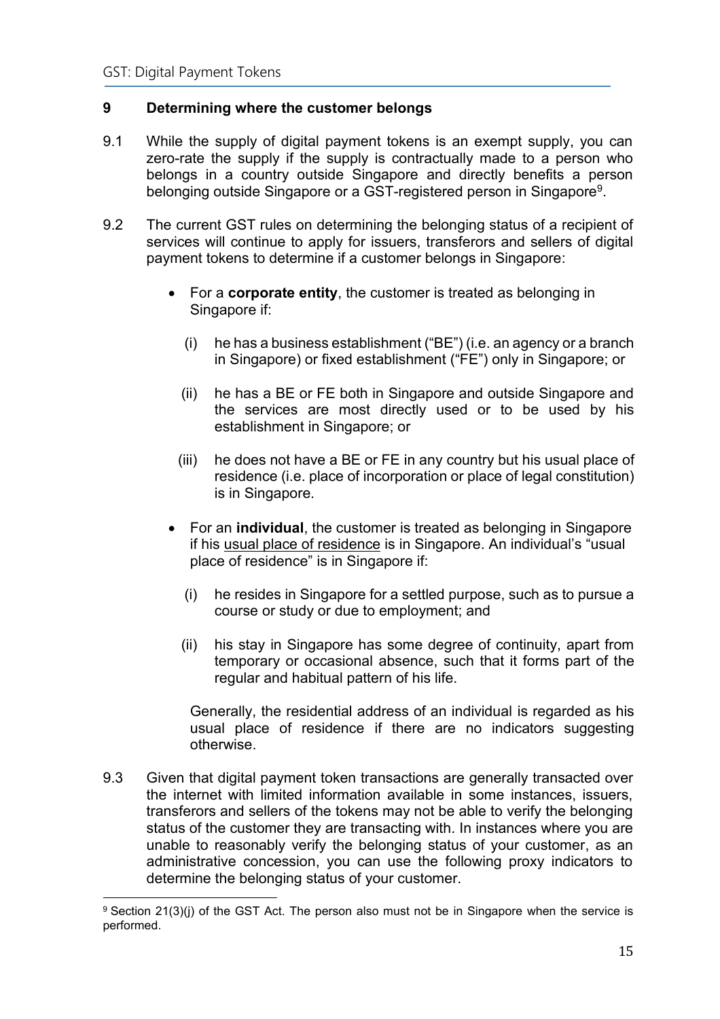## <span id="page-14-0"></span>**9 Determining where the customer belongs**

- 9.1 While the supply of digital payment tokens is an exempt supply, you can zero-rate the supply if the supply is contractually made to a person who belongs in a country outside Singapore and directly benefits a person belonging outside Singapore or a GST-registered person in Singapore<sup>9</sup>.
- 9.2 The current GST rules on determining the belonging status of a recipient of services will continue to apply for issuers, transferors and sellers of digital payment tokens to determine if a customer belongs in Singapore:
	- For a **corporate entity**, the customer is treated as belonging in Singapore if:
		- (i) he has a business establishment ("BE") (i.e. an agency or a branch in Singapore) or fixed establishment ("FE") only in Singapore; or
		- (ii) he has a BE or FE both in Singapore and outside Singapore and the services are most directly used or to be used by his establishment in Singapore; or
		- (iii) he does not have a BE or FE in any country but his usual place of residence (i.e. place of incorporation or place of legal constitution) is in Singapore.
	- For an **individual**, the customer is treated as belonging in Singapore if his usual place of residence is in Singapore. An individual's "usual place of residence" is in Singapore if:
		- (i) he resides in Singapore for a settled purpose, such as to pursue a course or study or due to employment; and
		- (ii) his stay in Singapore has some degree of continuity, apart from temporary or occasional absence, such that it forms part of the regular and habitual pattern of his life.

Generally, the residential address of an individual is regarded as his usual place of residence if there are no indicators suggesting otherwise.

9.3 Given that digital payment token transactions are generally transacted over the internet with limited information available in some instances, issuers, transferors and sellers of the tokens may not be able to verify the belonging status of the customer they are transacting with. In instances where you are unable to reasonably verify the belonging status of your customer, as an administrative concession, you can use the following proxy indicators to determine the belonging status of your customer.

<sup>9</sup> Section 21(3)(j) of the GST Act. The person also must not be in Singapore when the service is performed.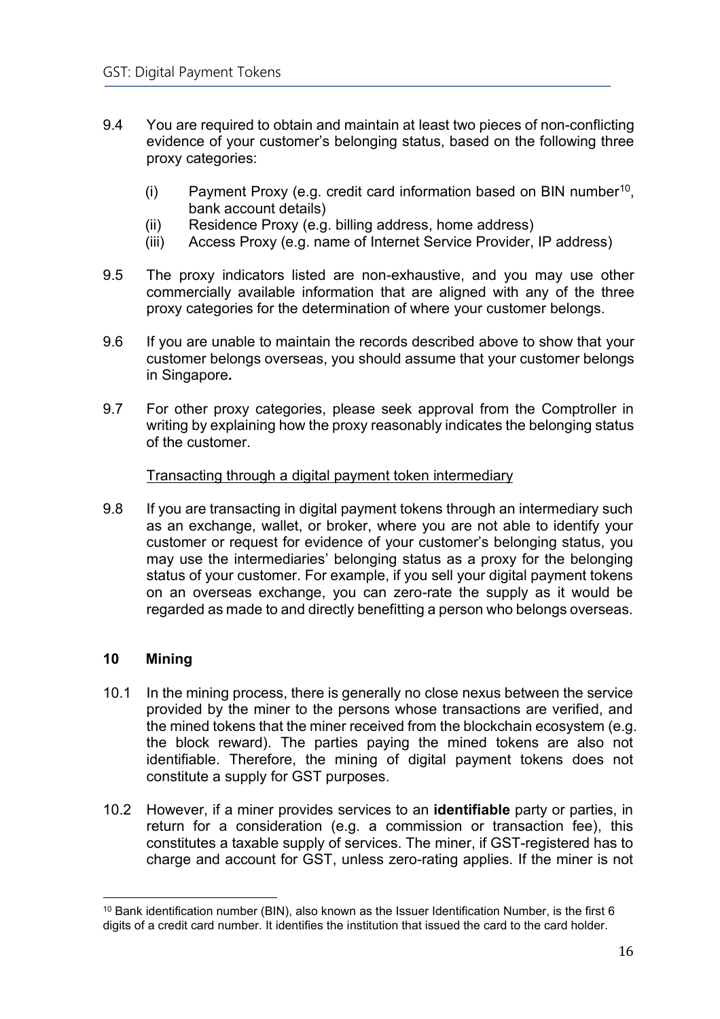- 9.4 You are required to obtain and maintain at least two pieces of non-conflicting evidence of your customer's belonging status, based on the following three proxy categories:
	- $(i)$  Payment Proxy (e.g. credit card information based on BIN number<sup>10</sup>, bank account details)
	- (ii) Residence Proxy (e.g. billing address, home address)
	- (iii) Access Proxy (e.g. name of Internet Service Provider, IP address)
- 9.5 The proxy indicators listed are non-exhaustive, and you may use other commercially available information that are aligned with any of the three proxy categories for the determination of where your customer belongs.
- 9.6 If you are unable to maintain the records described above to show that your customer belongs overseas, you should assume that your customer belongs in Singapore**.**
- 9.7 For other proxy categories, please seek approval from the Comptroller in writing by explaining how the proxy reasonably indicates the belonging status of the customer.

#### Transacting through a digital payment token intermediary

9.8 If you are transacting in digital payment tokens through an intermediary such as an exchange, wallet, or broker, where you are not able to identify your customer or request for evidence of your customer's belonging status, you may use the intermediaries' belonging status as a proxy for the belonging status of your customer. For example, if you sell your digital payment tokens on an overseas exchange, you can zero-rate the supply as it would be regarded as made to and directly benefitting a person who belongs overseas.

## <span id="page-15-0"></span>**10 Mining**

- 10.1 In the mining process, there is generally no close nexus between the service provided by the miner to the persons whose transactions are verified, and the mined tokens that the miner received from the blockchain ecosystem (e.g. the block reward). The parties paying the mined tokens are also not identifiable. Therefore, the mining of digital payment tokens does not constitute a supply for GST purposes.
- 10.2 However, if a miner provides services to an **identifiable** party or parties, in return for a consideration (e.g. a commission or transaction fee), this constitutes a taxable supply of services. The miner, if GST-registered has to charge and account for GST, unless zero-rating applies. If the miner is not

 $10$  Bank identification number (BIN), also known as the Issuer Identification Number, is the first 6 digits of a credit card number. It identifies the institution that issued the card to the card holder.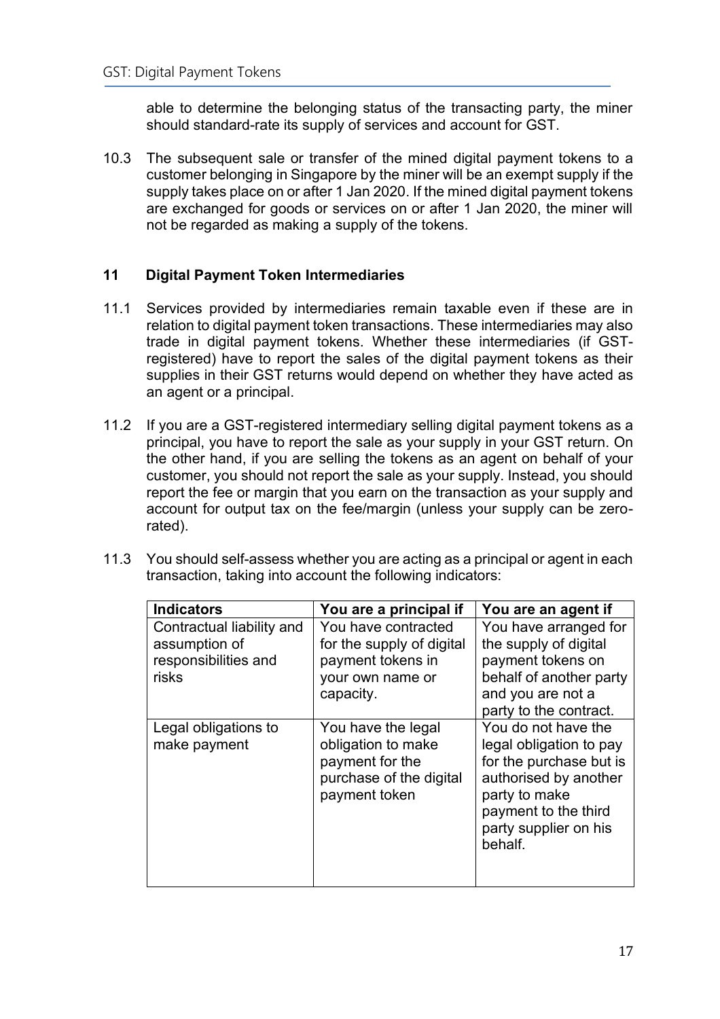able to determine the belonging status of the transacting party, the miner should standard-rate its supply of services and account for GST.

10.3 The subsequent sale or transfer of the mined digital payment tokens to a customer belonging in Singapore by the miner will be an exempt supply if the supply takes place on or after 1 Jan 2020. If the mined digital payment tokens are exchanged for goods or services on or after 1 Jan 2020, the miner will not be regarded as making a supply of the tokens.

## <span id="page-16-0"></span>**11 Digital Payment Token Intermediaries**

- 11.1 Services provided by intermediaries remain taxable even if these are in relation to digital payment token transactions. These intermediaries may also trade in digital payment tokens. Whether these intermediaries (if GSTregistered) have to report the sales of the digital payment tokens as their supplies in their GST returns would depend on whether they have acted as an agent or a principal.
- 11.2 If you are a GST-registered intermediary selling digital payment tokens as a principal, you have to report the sale as your supply in your GST return. On the other hand, if you are selling the tokens as an agent on behalf of your customer, you should not report the sale as your supply. Instead, you should report the fee or margin that you earn on the transaction as your supply and account for output tax on the fee/margin (unless your supply can be zerorated).
- 11.3 You should self-assess whether you are acting as a principal or agent in each transaction, taking into account the following indicators:

| <b>Indicators</b>                                                           | You are a principal if                                                                                  | You are an agent if                                                                                                                                                             |
|-----------------------------------------------------------------------------|---------------------------------------------------------------------------------------------------------|---------------------------------------------------------------------------------------------------------------------------------------------------------------------------------|
| Contractual liability and<br>assumption of<br>responsibilities and<br>risks | You have contracted<br>for the supply of digital<br>payment tokens in<br>your own name or<br>capacity.  | You have arranged for<br>the supply of digital<br>payment tokens on<br>behalf of another party<br>and you are not a<br>party to the contract.                                   |
| Legal obligations to<br>make payment                                        | You have the legal<br>obligation to make<br>payment for the<br>purchase of the digital<br>payment token | You do not have the<br>legal obligation to pay<br>for the purchase but is<br>authorised by another<br>party to make<br>payment to the third<br>party supplier on his<br>behalf. |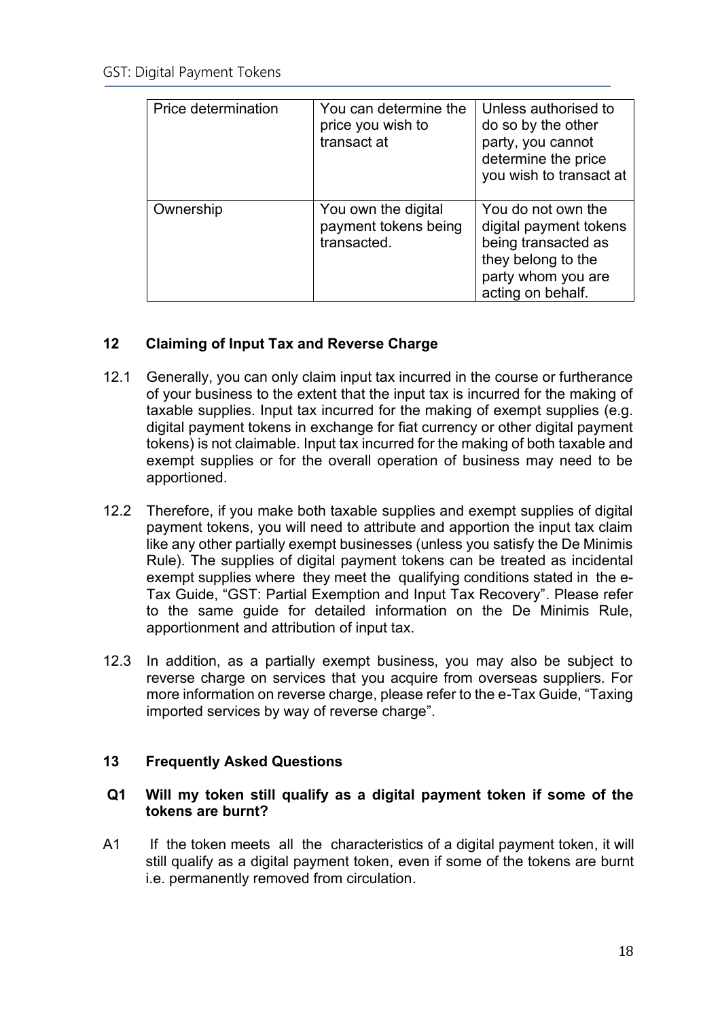| Price determination | You can determine the<br>price you wish to<br>transact at  | Unless authorised to<br>do so by the other<br>party, you cannot<br>determine the price<br>you wish to transact at                    |
|---------------------|------------------------------------------------------------|--------------------------------------------------------------------------------------------------------------------------------------|
| Ownership           | You own the digital<br>payment tokens being<br>transacted. | You do not own the<br>digital payment tokens<br>being transacted as<br>they belong to the<br>party whom you are<br>acting on behalf. |

## <span id="page-17-0"></span>**12 Claiming of Input Tax and Reverse Charge**

- 12.1 Generally, you can only claim input tax incurred in the course or furtherance of your business to the extent that the input tax is incurred for the making of taxable supplies. Input tax incurred for the making of exempt supplies (e.g. digital payment tokens in exchange for fiat currency or other digital payment tokens) is not claimable. Input tax incurred for the making of both taxable and exempt supplies or for the overall operation of business may need to be apportioned.
- 12.2 Therefore, if you make both taxable supplies and exempt supplies of digital payment tokens, you will need to attribute and apportion the input tax claim like any other partially exempt businesses (unless you satisfy the De Minimis Rule). The supplies of digital payment tokens can be treated as incidental exempt supplies where they meet the qualifying conditions stated in the e-Tax Guide, "GST: Partial Exemption and Input Tax Recovery". Please refer to the same guide for detailed information on the De Minimis Rule, apportionment and attribution of input tax.
- 12.3 In addition, as a partially exempt business, you may also be subject to reverse charge on services that you acquire from overseas suppliers. For more information on reverse charge, please refer to the e-Tax Guide, "Taxing imported services by way of reverse charge".

## <span id="page-17-1"></span>**13 Frequently Asked Questions**

## **Q1 Will my token still qualify as a digital payment token if some of the tokens are burnt?**

A1 If the token meets all the characteristics of a digital payment token, it will still qualify as a digital payment token, even if some of the tokens are burnt i.e. permanently removed from circulation.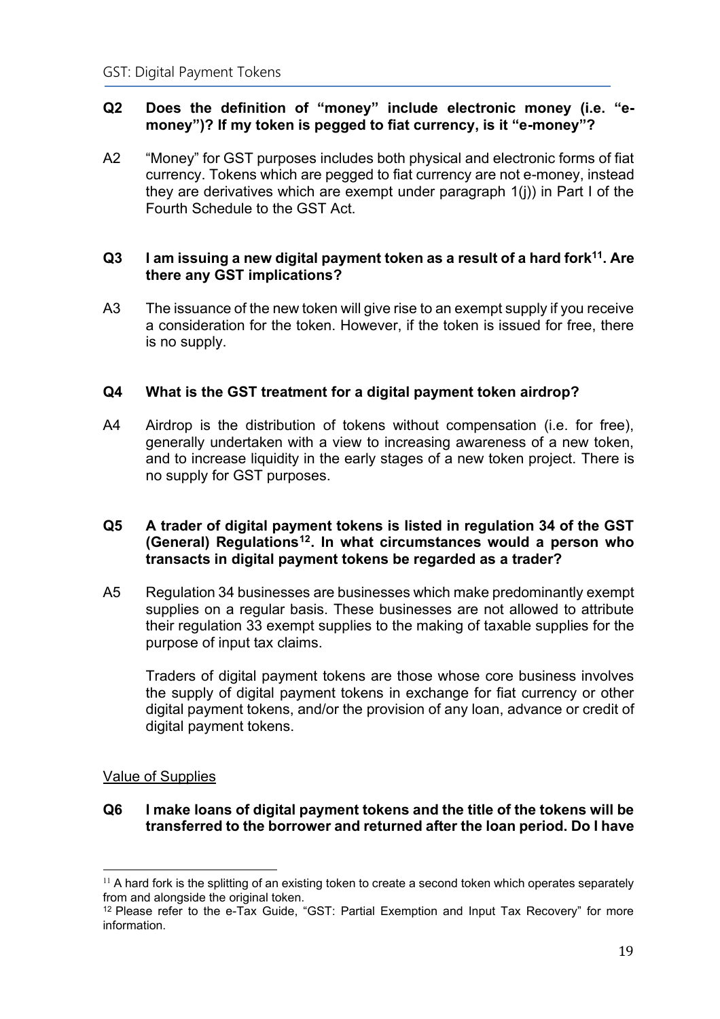## **Q2 Does the definition of "money" include electronic money (i.e. "emoney")? If my token is pegged to fiat currency, is it "e-money"?**

A2 "Money" for GST purposes includes both physical and electronic forms of fiat currency. Tokens which are pegged to fiat currency are not e-money, instead they are derivatives which are exempt under paragraph 1(j)) in Part I of the Fourth Schedule to the GST Act.

## **Q3 I am issuing a new digital payment token as a result of a hard fork<sup>11</sup> . Are there any GST implications?**

A3 The issuance of the new token will give rise to an exempt supply if you receive a consideration for the token. However, if the token is issued for free, there is no supply.

## **Q4 What is the GST treatment for a digital payment token airdrop?**

A4 Airdrop is the distribution of tokens without compensation (i.e. for free), generally undertaken with a view to increasing awareness of a new token, and to increase liquidity in the early stages of a new token project. There is no supply for GST purposes.

## **Q5 A trader of digital payment tokens is listed in regulation 34 of the GST (General) Regulations<sup>12</sup>. In what circumstances would a person who transacts in digital payment tokens be regarded as a trader?**

A5 Regulation 34 businesses are businesses which make predominantly exempt supplies on a regular basis. These businesses are not allowed to attribute their regulation 33 exempt supplies to the making of taxable supplies for the purpose of input tax claims.

Traders of digital payment tokens are those whose core business involves the supply of digital payment tokens in exchange for fiat currency or other digital payment tokens, and/or the provision of any loan, advance or credit of digital payment tokens.

## Value of Supplies

## **Q6 I make loans of digital payment tokens and the title of the tokens will be transferred to the borrower and returned after the loan period. Do I have**

 $11$  A hard fork is the splitting of an existing token to create a second token which operates separately from and alongside the original token.

 $12$  Please refer to the e-Tax Guide, "GST: Partial Exemption and Input Tax Recovery" for more information.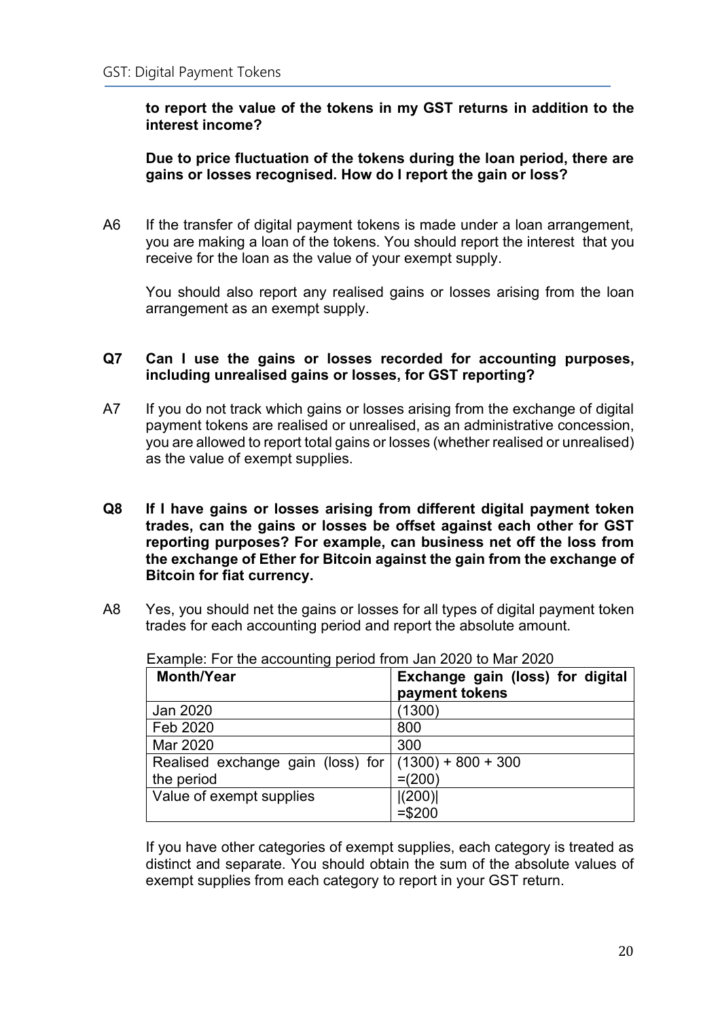#### **to report the value of the tokens in my GST returns in addition to the interest income?**

## **Due to price fluctuation of the tokens during the loan period, there are gains or losses recognised. How do I report the gain or loss?**

A6 If the transfer of digital payment tokens is made under a loan arrangement, you are making a loan of the tokens. You should report the interest that you receive for the loan as the value of your exempt supply.

You should also report any realised gains or losses arising from the loan arrangement as an exempt supply.

#### **Q7 Can I use the gains or losses recorded for accounting purposes, including unrealised gains or losses, for GST reporting?**

- A7 If you do not track which gains or losses arising from the exchange of digital payment tokens are realised or unrealised, as an administrative concession, you are allowed to report total gains or losses (whether realised or unrealised) as the value of exempt supplies.
- **Q8 If I have gains or losses arising from different digital payment token trades, can the gains or losses be offset against each other for GST reporting purposes? For example, can business net off the loss from the exchange of Ether for Bitcoin against the gain from the exchange of Bitcoin for fiat currency.**
- A8 Yes, you should net the gains or losses for all types of digital payment token trades for each accounting period and report the absolute amount.

| <b>Month/Year</b>                                      | Exchange gain (loss) for digital<br>payment tokens |
|--------------------------------------------------------|----------------------------------------------------|
|                                                        |                                                    |
| Jan 2020                                               | (1300)                                             |
| Feb 2020                                               | 800                                                |
| Mar 2020                                               | 300                                                |
| Realised exchange gain (loss) for $(1300) + 800 + 300$ |                                                    |
| the period                                             | $=(200)$                                           |
| Value of exempt supplies                               | (200)                                              |
|                                                        | $= $200$                                           |

Example: For the accounting period from Jan 2020 to Mar 2020

If you have other categories of exempt supplies, each category is treated as distinct and separate. You should obtain the sum of the absolute values of exempt supplies from each category to report in your GST return.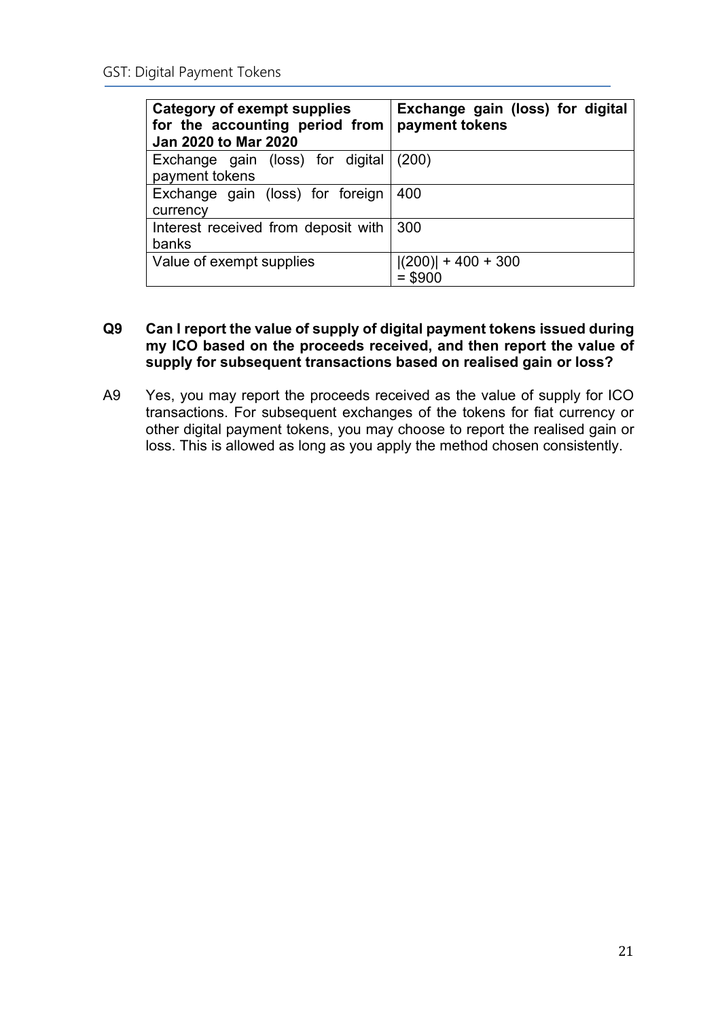| <b>Category of exempt supplies</b><br>for the accounting period from<br><b>Jan 2020 to Mar 2020</b> | Exchange gain (loss) for digital<br>payment tokens |  |
|-----------------------------------------------------------------------------------------------------|----------------------------------------------------|--|
| Exchange gain (loss) for digital<br>payment tokens                                                  | (200)                                              |  |
| Exchange gain (loss) for foreign<br>currency                                                        | 400                                                |  |
| Interest received from deposit with<br>banks                                                        | 300                                                |  |
| Value of exempt supplies                                                                            | $ (200)  + 400 + 300$<br>$= $900$                  |  |

## **Q9 Can I report the value of supply of digital payment tokens issued during my ICO based on the proceeds received, and then report the value of supply for subsequent transactions based on realised gain or loss?**

A9 Yes, you may report the proceeds received as the value of supply for ICO transactions. For subsequent exchanges of the tokens for fiat currency or other digital payment tokens, you may choose to report the realised gain or loss. This is allowed as long as you apply the method chosen consistently.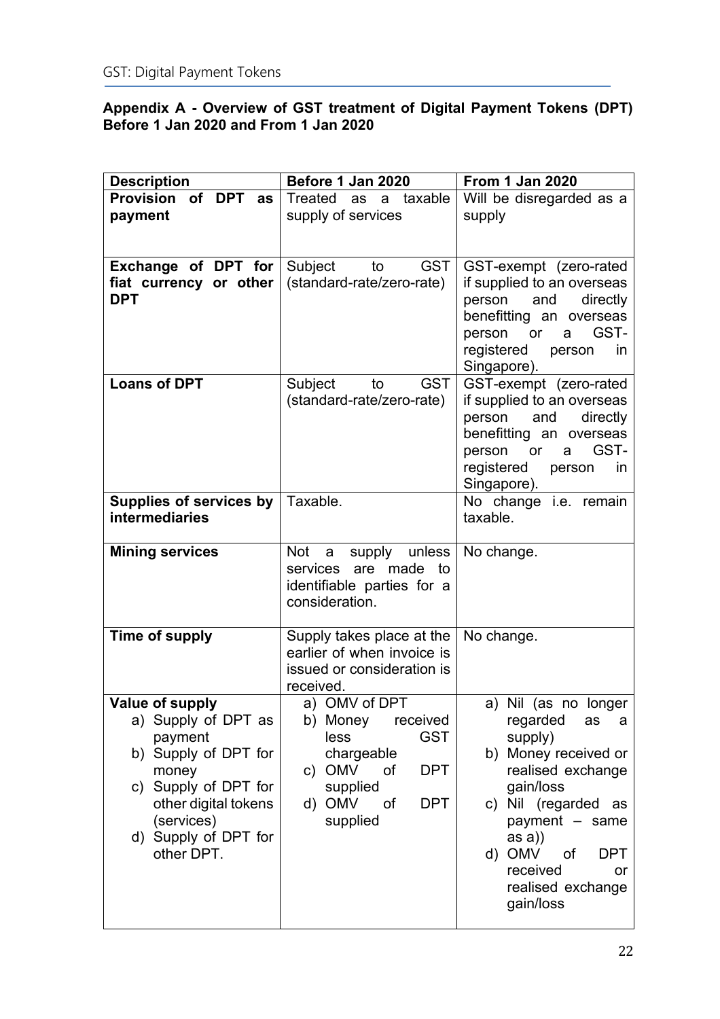## <span id="page-21-0"></span>**Appendix A - Overview of GST treatment of Digital Payment Tokens (DPT) Before 1 Jan 2020 and From 1 Jan 2020**

| <b>Description</b>             | Before 1 Jan 2020                            | <b>From 1 Jan 2020</b>                               |
|--------------------------------|----------------------------------------------|------------------------------------------------------|
| Provision of DPT as            | Treated as<br>a taxable                      | Will be disregarded as a                             |
| payment                        | supply of services                           | supply                                               |
|                                |                                              |                                                      |
|                                |                                              |                                                      |
| Exchange of DPT for            | Subject<br>to<br><b>GST</b>                  | GST-exempt (zero-rated                               |
| fiat currency or other         | (standard-rate/zero-rate)                    | if supplied to an overseas                           |
| <b>DPT</b>                     |                                              | and<br>directly<br>person<br>benefitting an overseas |
|                                |                                              | GST-<br>or<br>person<br>a                            |
|                                |                                              | registered<br>person<br><i>in</i>                    |
|                                |                                              | Singapore).                                          |
| <b>Loans of DPT</b>            | Subject<br><b>GST</b><br>to                  | GST-exempt (zero-rated                               |
|                                | (standard-rate/zero-rate)                    | if supplied to an overseas                           |
|                                |                                              | and directly<br>person                               |
|                                |                                              | benefitting an overseas                              |
|                                |                                              | GST-<br>person<br>or<br>a                            |
|                                |                                              | registered<br>person<br>in<br>Singapore).            |
| <b>Supplies of services by</b> | Taxable.                                     | No change i.e. remain                                |
| <b>intermediaries</b>          |                                              | taxable.                                             |
|                                |                                              |                                                      |
| <b>Mining services</b>         | <b>Not</b><br>supply unless<br>a             | No change.                                           |
|                                | services are made to                         |                                                      |
|                                | identifiable parties for a<br>consideration. |                                                      |
|                                |                                              |                                                      |
| Time of supply                 | Supply takes place at the                    | No change.                                           |
|                                | earlier of when invoice is                   |                                                      |
|                                | issued or consideration is                   |                                                      |
|                                | received.                                    |                                                      |
| <b>Value of supply</b>         | a) OMV of DPT                                | a) Nil (as no longer                                 |
| a) Supply of DPT as<br>payment | b) Money<br>received<br><b>GST</b><br>less   | regarded<br>as<br>a                                  |
| b) Supply of DPT for           | chargeable                                   | supply)<br>b) Money received or                      |
| money                          | c) OMV<br><b>DPT</b><br>of                   | realised exchange                                    |
| c) Supply of DPT for           | supplied                                     | gain/loss                                            |
| other digital tokens           | <b>DPT</b><br>d) OMV<br>0f                   | c) Nil (regarded as                                  |
| (services)                     | supplied                                     | payment - same                                       |
| d) Supply of DPT for           |                                              | as a)                                                |
| other DPT.                     |                                              | d) OMV<br>of<br><b>DPT</b>                           |
|                                |                                              | received<br>or                                       |
|                                |                                              | realised exchange<br>gain/loss                       |
|                                |                                              |                                                      |